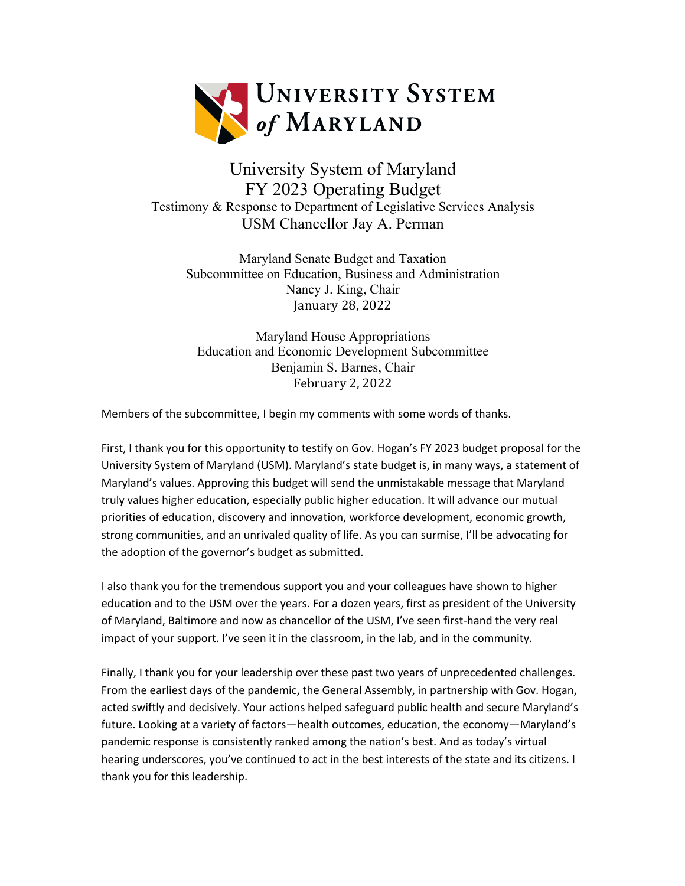

# University System of Maryland FY 2023 Operating Budget Testimony & Response to Department of Legislative Services Analysis USM Chancellor Jay A. Perman

Maryland Senate Budget and Taxation Subcommittee on Education, Business and Administration Nancy J. King, Chair January 28, 2022

Maryland House Appropriations Education and Economic Development Subcommittee Benjamin S. Barnes, Chair February 2, 2022

Members of the subcommittee, I begin my comments with some words of thanks.

First, I thank you for this opportunity to testify on Gov. Hogan's FY 2023 budget proposal for the University System of Maryland (USM). Maryland's state budget is, in many ways, a statement of Maryland's values. Approving this budget will send the unmistakable message that Maryland truly values higher education, especially public higher education. It will advance our mutual priorities of education, discovery and innovation, workforce development, economic growth, strong communities, and an unrivaled quality of life. As you can surmise, I'll be advocating for the adoption of the governor's budget as submitted.

I also thank you for the tremendous support you and your colleagues have shown to higher education and to the USM over the years. For a dozen years, first as president of the University of Maryland, Baltimore and now as chancellor of the USM, I've seen first-hand the very real impact of your support. I've seen it in the classroom, in the lab, and in the community.

Finally, I thank you for your leadership over these past two years of unprecedented challenges. From the earliest days of the pandemic, the General Assembly, in partnership with Gov. Hogan, acted swiftly and decisively. Your actions helped safeguard public health and secure Maryland's future. Looking at a variety of factors—health outcomes, education, the economy—Maryland's pandemic response is consistently ranked among the nation's best. And as today's virtual hearing underscores, you've continued to act in the best interests of the state and its citizens. I thank you for this leadership.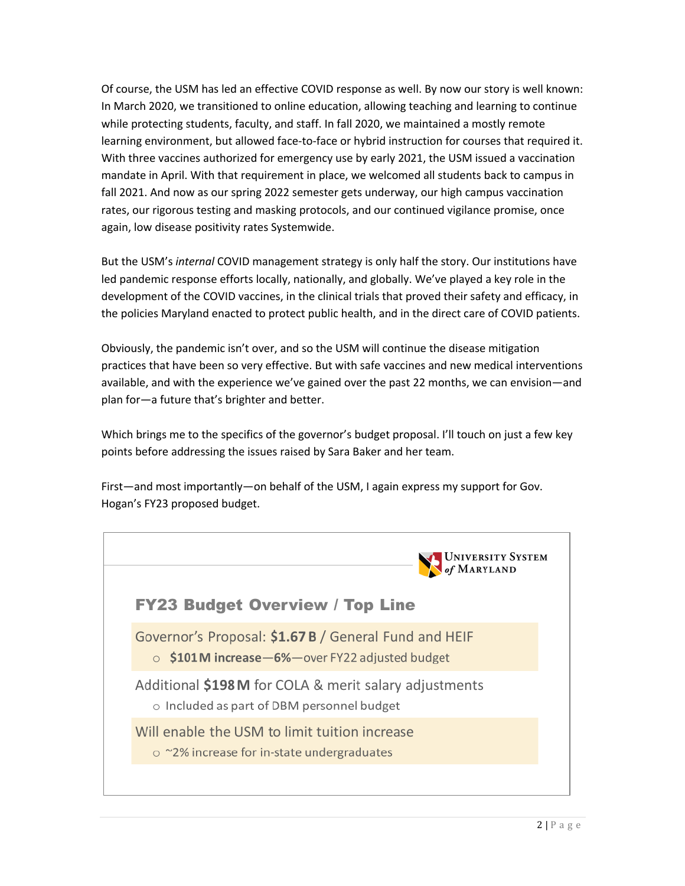Of course, the USM has led an effective COVID response as well. By now our story is well known: In March 2020, we transitioned to online education, allowing teaching and learning to continue while protecting students, faculty, and staff. In fall 2020, we maintained a mostly remote learning environment, but allowed face-to-face or hybrid instruction for courses that required it. With three vaccines authorized for emergency use by early 2021, the USM issued a vaccination mandate in April. With that requirement in place, we welcomed all students back to campus in fall 2021. And now as our spring 2022 semester gets underway, our high campus vaccination rates, our rigorous testing and masking protocols, and our continued vigilance promise, once again, low disease positivity rates Systemwide.

But the USM's *internal* COVID management strategy is only half the story. Our institutions have led pandemic response efforts locally, nationally, and globally. We've played a key role in the development of the COVID vaccines, in the clinical trials that proved their safety and efficacy, in the policies Maryland enacted to protect public health, and in the direct care of COVID patients.

Obviously, the pandemic isn't over, and so the USM will continue the disease mitigation practices that have been so very effective. But with safe vaccines and new medical interventions available, and with the experience we've gained over the past 22 months, we can envision—and plan for—a future that's brighter and better.

Which brings me to the specifics of the governor's budget proposal. I'll touch on just a few key points before addressing the issues raised by Sara Baker and her team.

First—and most importantly—on behalf of the USM, I again express my support for Gov. Hogan's FY23 proposed budget.

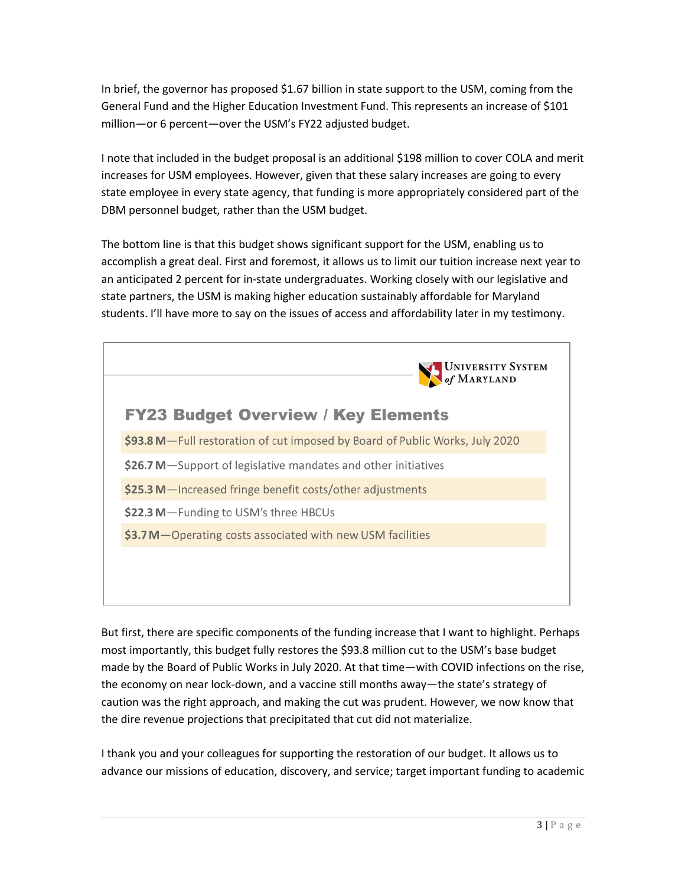In brief, the governor has proposed \$1.67 billion in state support to the USM, coming from the General Fund and the Higher Education Investment Fund. This represents an increase of \$101 million—or 6 percent—over the USM's FY22 adjusted budget.

I note that included in the budget proposal is an additional \$198 million to cover COLA and merit increases for USM employees. However, given that these salary increases are going to every state employee in every state agency, that funding is more appropriately considered part of the DBM personnel budget, rather than the USM budget.

The bottom line is that this budget shows significant support for the USM, enabling us to accomplish a great deal. First and foremost, it allows us to limit our tuition increase next year to an anticipated 2 percent for in-state undergraduates. Working closely with our legislative and state partners, the USM is making higher education sustainably affordable for Maryland students. I'll have more to say on the issues of access and affordability later in my testimony.



But first, there are specific components of the funding increase that I want to highlight. Perhaps most importantly, this budget fully restores the \$93.8 million cut to the USM's base budget made by the Board of Public Works in July 2020. At that time—with COVID infections on the rise, the economy on near lock-down, and a vaccine still months away—the state's strategy of caution was the right approach, and making the cut was prudent. However, we now know that the dire revenue projections that precipitated that cut did not materialize.

I thank you and your colleagues for supporting the restoration of our budget. It allows us to advance our missions of education, discovery, and service; target important funding to academic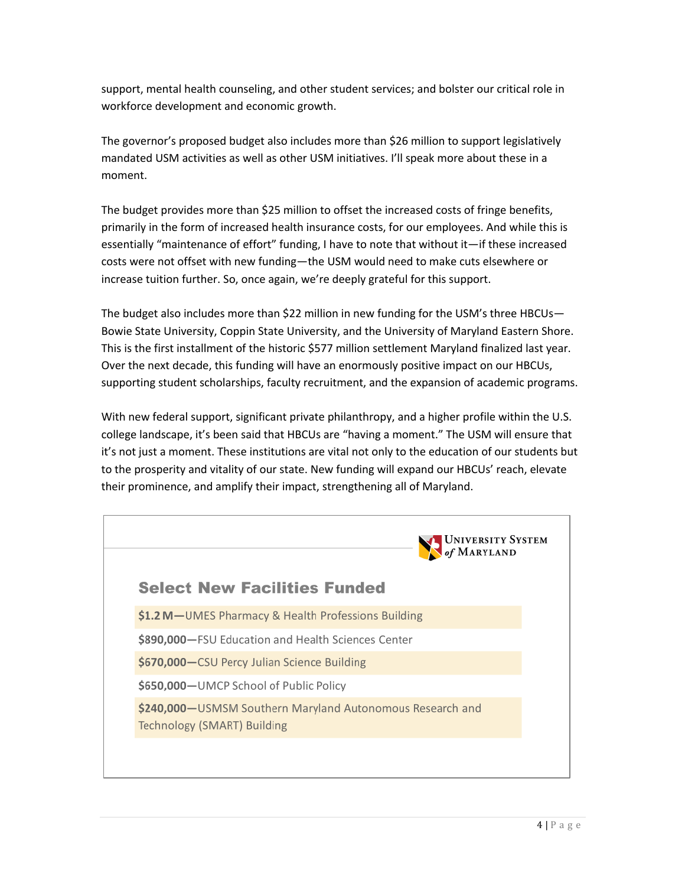support, mental health counseling, and other student services; and bolster our critical role in workforce development and economic growth.

The governor's proposed budget also includes more than \$26 million to support legislatively mandated USM activities as well as other USM initiatives. I'll speak more about these in a moment.

The budget provides more than \$25 million to offset the increased costs of fringe benefits, primarily in the form of increased health insurance costs, for our employees. And while this is essentially "maintenance of effort" funding, I have to note that without it—if these increased costs were not offset with new funding—the USM would need to make cuts elsewhere or increase tuition further. So, once again, we're deeply grateful for this support.

The budget also includes more than \$22 million in new funding for the USM's three HBCUs-Bowie State University, Coppin State University, and the University of Maryland Eastern Shore. This is the first installment of the historic \$577 million settlement Maryland finalized last year. Over the next decade, this funding will have an enormously positive impact on our HBCUs, supporting student scholarships, faculty recruitment, and the expansion of academic programs.

With new federal support, significant private philanthropy, and a higher profile within the U.S. college landscape, it's been said that HBCUs are "having a moment." The USM will ensure that it's not just a moment. These institutions are vital not only to the education of our students but to the prosperity and vitality of our state. New funding will expand our HBCUs' reach, elevate their prominence, and amplify their impact, strengthening all of Maryland.

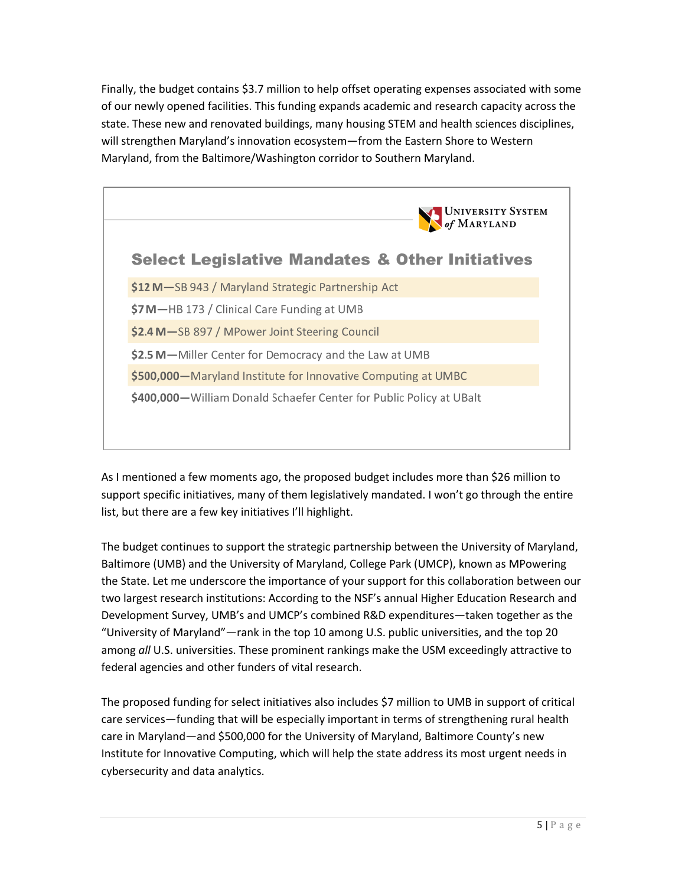Finally, the budget contains \$3.7 million to help offset operating expenses associated with some of our newly opened facilities. This funding expands academic and research capacity across the state. These new and renovated buildings, many housing STEM and health sciences disciplines, will strengthen Maryland's innovation ecosystem—from the Eastern Shore to Western Maryland, from the Baltimore/Washington corridor to Southern Maryland.



As I mentioned a few moments ago, the proposed budget includes more than \$26 million to support specific initiatives, many of them legislatively mandated. I won't go through the entire list, but there are a few key initiatives I'll highlight.

The budget continues to support the strategic partnership between the University of Maryland, Baltimore (UMB) and the University of Maryland, College Park (UMCP), known as MPowering the State. Let me underscore the importance of your support for this collaboration between our two largest research institutions: According to the NSF's annual Higher Education Research and Development Survey, UMB's and UMCP's combined R&D expenditures—taken together as the "University of Maryland"—rank in the top 10 among U.S. public universities, and the top 20 among *all* U.S. universities. These prominent rankings make the USM exceedingly attractive to federal agencies and other funders of vital research.

The proposed funding for select initiatives also includes \$7 million to UMB in support of critical care services—funding that will be especially important in terms of strengthening rural health care in Maryland—and \$500,000 for the University of Maryland, Baltimore County's new Institute for Innovative Computing, which will help the state address its most urgent needs in cybersecurity and data analytics.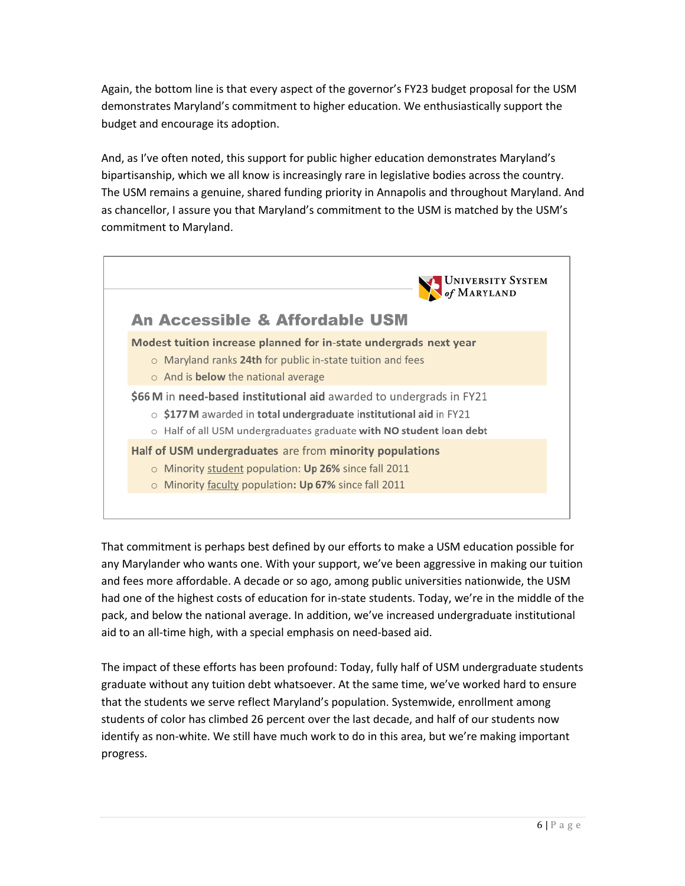Again, the bottom line is that every aspect of the governor's FY23 budget proposal for the USM demonstrates Maryland's commitment to higher education. We enthusiastically support the budget and encourage its adoption.

And, as I've often noted, this support for public higher education demonstrates Maryland's bipartisanship, which we all know is increasingly rare in legislative bodies across the country. The USM remains a genuine, shared funding priority in Annapolis and throughout Maryland. And as chancellor, I assure you that Maryland's commitment to the USM is matched by the USM's commitment to Maryland.



That commitment is perhaps best defined by our efforts to make a USM education possible for any Marylander who wants one. With your support, we've been aggressive in making our tuition and fees more affordable. A decade or so ago, among public universities nationwide, the USM had one of the highest costs of education for in-state students. Today, we're in the middle of the pack, and below the national average. In addition, we've increased undergraduate institutional aid to an all-time high, with a special emphasis on need-based aid.

The impact of these efforts has been profound: Today, fully half of USM undergraduate students graduate without any tuition debt whatsoever. At the same time, we've worked hard to ensure that the students we serve reflect Maryland's population. Systemwide, enrollment among students of color has climbed 26 percent over the last decade, and half of our students now identify as non-white. We still have much work to do in this area, but we're making important progress.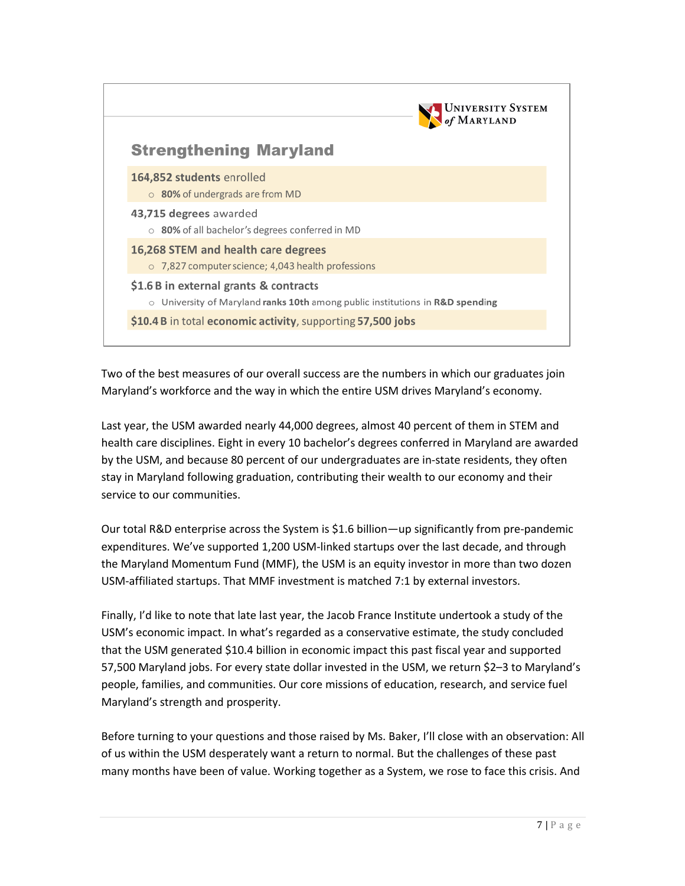

Two of the best measures of our overall success are the numbers in which our graduates join Maryland's workforce and the way in which the entire USM drives Maryland's economy.

Last year, the USM awarded nearly 44,000 degrees, almost 40 percent of them in STEM and health care disciplines. Eight in every 10 bachelor's degrees conferred in Maryland are awarded by the USM, and because 80 percent of our undergraduates are in-state residents, they often stay in Maryland following graduation, contributing their wealth to our economy and their service to our communities.

Our total R&D enterprise across the System is \$1.6 billion—up significantly from pre-pandemic expenditures. We've supported 1,200 USM-linked startups over the last decade, and through the Maryland Momentum Fund (MMF), the USM is an equity investor in more than two dozen USM-affiliated startups. That MMF investment is matched 7:1 by external investors.

Finally, I'd like to note that late last year, the Jacob France Institute undertook a study of the USM's economic impact. In what's regarded as a conservative estimate, the study concluded that the USM generated \$10.4 billion in economic impact this past fiscal year and supported 57,500 Maryland jobs. For every state dollar invested in the USM, we return \$2–3 to Maryland's people, families, and communities. Our core missions of education, research, and service fuel Maryland's strength and prosperity.

Before turning to your questions and those raised by Ms. Baker, I'll close with an observation: All of us within the USM desperately want a return to normal. But the challenges of these past many months have been of value. Working together as a System, we rose to face this crisis. And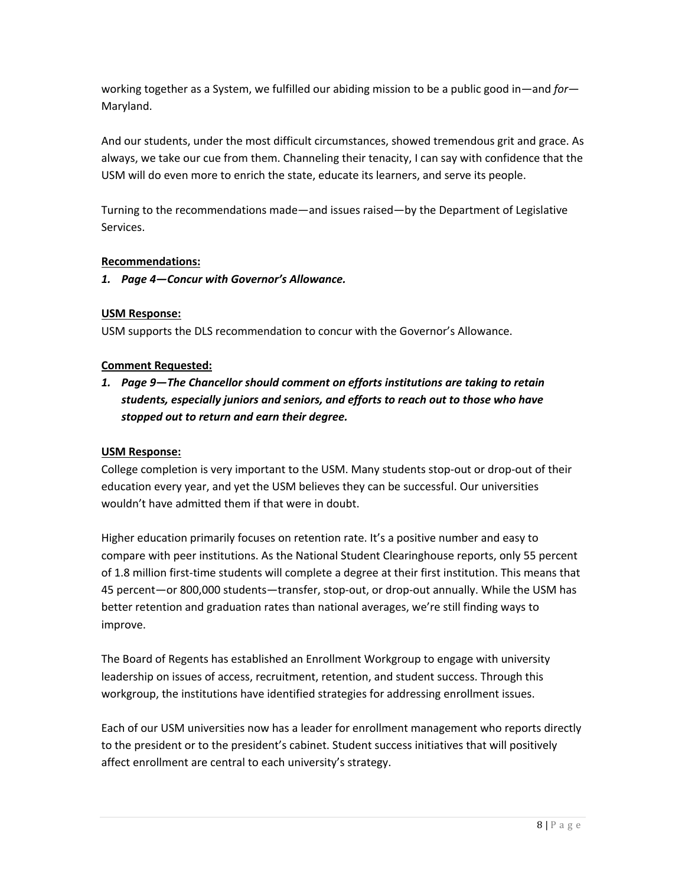working together as a System, we fulfilled our abiding mission to be a public good in—and *for*— Maryland.

And our students, under the most difficult circumstances, showed tremendous grit and grace. As always, we take our cue from them. Channeling their tenacity, I can say with confidence that the USM will do even more to enrich the state, educate its learners, and serve its people.

Turning to the recommendations made—and issues raised—by the Department of Legislative Services.

# **Recommendations:**

# *1. Page 4—Concur with Governor's Allowance.*

# **USM Response:**

USM supports the DLS recommendation to concur with the Governor's Allowance.

## **Comment Requested:**

*1. Page 9—The Chancellor should comment on efforts institutions are taking to retain students, especially juniors and seniors, and efforts to reach out to those who have stopped out to return and earn their degree.*

## **USM Response:**

College completion is very important to the USM. Many students stop-out or drop-out of their education every year, and yet the USM believes they can be successful. Our universities wouldn't have admitted them if that were in doubt.

Higher education primarily focuses on retention rate. It's a positive number and easy to compare with peer institutions. As the National Student Clearinghouse reports, only 55 percent of 1.8 million first-time students will complete a degree at their first institution. This means that 45 percent—or 800,000 students—transfer, stop-out, or drop-out annually. While the USM has better retention and graduation rates than national averages, we're still finding ways to improve.

The Board of Regents has established an Enrollment Workgroup to engage with university leadership on issues of access, recruitment, retention, and student success. Through this workgroup, the institutions have identified strategies for addressing enrollment issues.

Each of our USM universities now has a leader for enrollment management who reports directly to the president or to the president's cabinet. Student success initiatives that will positively affect enrollment are central to each university's strategy.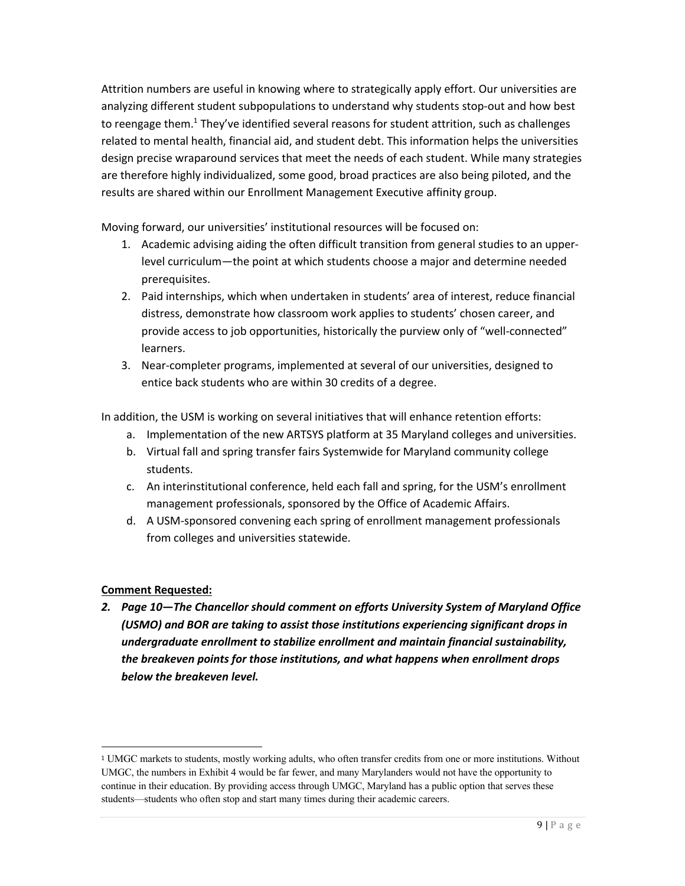Attrition numbers are useful in knowing where to strategically apply effort. Our universities are analyzing different student subpopulations to understand why students stop-out and how best to reengage them. $1$  They've identified several reasons for student attrition, such as challenges related to mental health, financial aid, and student debt. This information helps the universities design precise wraparound services that meet the needs of each student. While many strategies are therefore highly individualized, some good, broad practices are also being piloted, and the results are shared within our Enrollment Management Executive affinity group.

Moving forward, our universities' institutional resources will be focused on:

- 1. Academic advising aiding the often difficult transition from general studies to an upperlevel curriculum—the point at which students choose a major and determine needed prerequisites.
- 2. Paid internships, which when undertaken in students' area of interest, reduce financial distress, demonstrate how classroom work applies to students' chosen career, and provide access to job opportunities, historically the purview only of "well-connected" learners.
- 3. Near-completer programs, implemented at several of our universities, designed to entice back students who are within 30 credits of a degree.

In addition, the USM is working on several initiatives that will enhance retention efforts:

- a. Implementation of the new ARTSYS platform at 35 Maryland colleges and universities.
- b. Virtual fall and spring transfer fairs Systemwide for Maryland community college students.
- c. An interinstitutional conference, held each fall and spring, for the USM's enrollment management professionals, sponsored by the Office of Academic Affairs.
- d. A USM-sponsored convening each spring of enrollment management professionals from colleges and universities statewide.

# **Comment Requested:**

*2. Page 10—The Chancellor should comment on efforts University System of Maryland Office (USMO) and BOR are taking to assist those institutions experiencing significant drops in undergraduate enrollment to stabilize enrollment and maintain financial sustainability, the breakeven points for those institutions, and what happens when enrollment drops below the breakeven level.*

<sup>1</sup> UMGC markets to students, mostly working adults, who often transfer credits from one or more institutions. Without UMGC, the numbers in Exhibit 4 would be far fewer, and many Marylanders would not have the opportunity to continue in their education. By providing access through UMGC, Maryland has a public option that serves these students—students who often stop and start many times during their academic careers.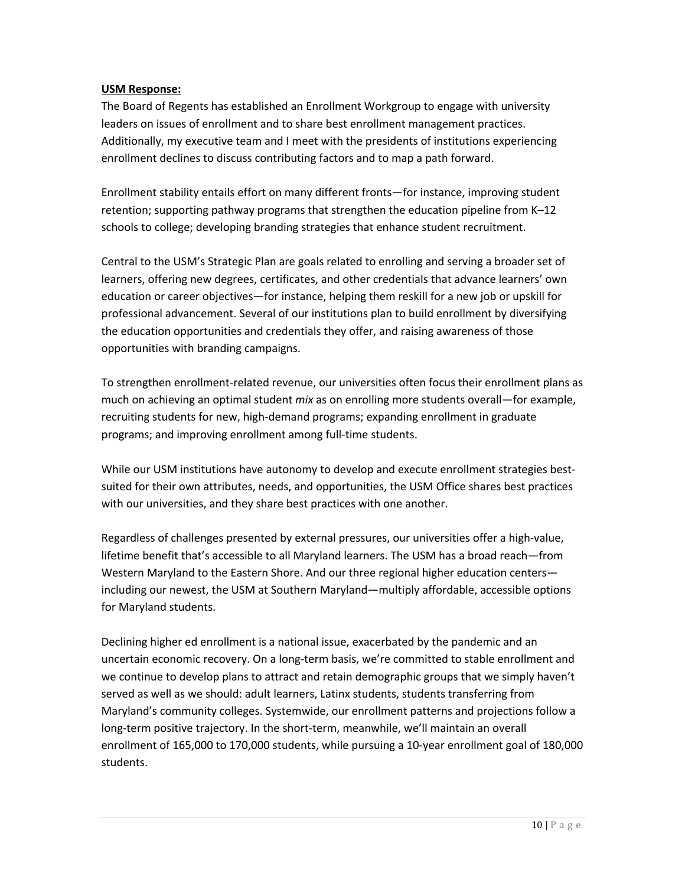## **USM Response:**

The Board of Regents has established an Enrollment Workgroup to engage with university leaders on issues of enrollment and to share best enrollment management practices. Additionally, my executive team and I meet with the presidents of institutions experiencing enrollment declines to discuss contributing factors and to map a path forward.

Enrollment stability entails effort on many different fronts—for instance, improving student retention; supporting pathway programs that strengthen the education pipeline from K–12 schools to college; developing branding strategies that enhance student recruitment.

Central to the USM's Strategic Plan are goals related to enrolling and serving a broader set of learners, offering new degrees, certificates, and other credentials that advance learners' own education or career objectives—for instance, helping them reskill for a new job or upskill for professional advancement. Several of our institutions plan to build enrollment by diversifying the education opportunities and credentials they offer, and raising awareness of those opportunities with branding campaigns.

To strengthen enrollment-related revenue, our universities often focus their enrollment plans as much on achieving an optimal student *mix* as on enrolling more students overall—for example, recruiting students for new, high-demand programs; expanding enrollment in graduate programs; and improving enrollment among full-time students.

While our USM institutions have autonomy to develop and execute enrollment strategies bestsuited for their own attributes, needs, and opportunities, the USM Office shares best practices with our universities, and they share best practices with one another.

Regardless of challenges presented by external pressures, our universities offer a high-value, lifetime benefit that's accessible to all Maryland learners. The USM has a broad reach—from Western Maryland to the Eastern Shore. And our three regional higher education centers including our newest, the USM at Southern Maryland—multiply affordable, accessible options for Maryland students.

Declining higher ed enrollment is a national issue, exacerbated by the pandemic and an uncertain economic recovery. On a long-term basis, we're committed to stable enrollment and we continue to develop plans to attract and retain demographic groups that we simply haven't served as well as we should: adult learners, Latinx students, students transferring from Maryland's community colleges. Systemwide, our enrollment patterns and projections follow a long-term positive trajectory. In the short-term, meanwhile, we'll maintain an overall enrollment of 165,000 to 170,000 students, while pursuing a 10-year enrollment goal of 180,000 students.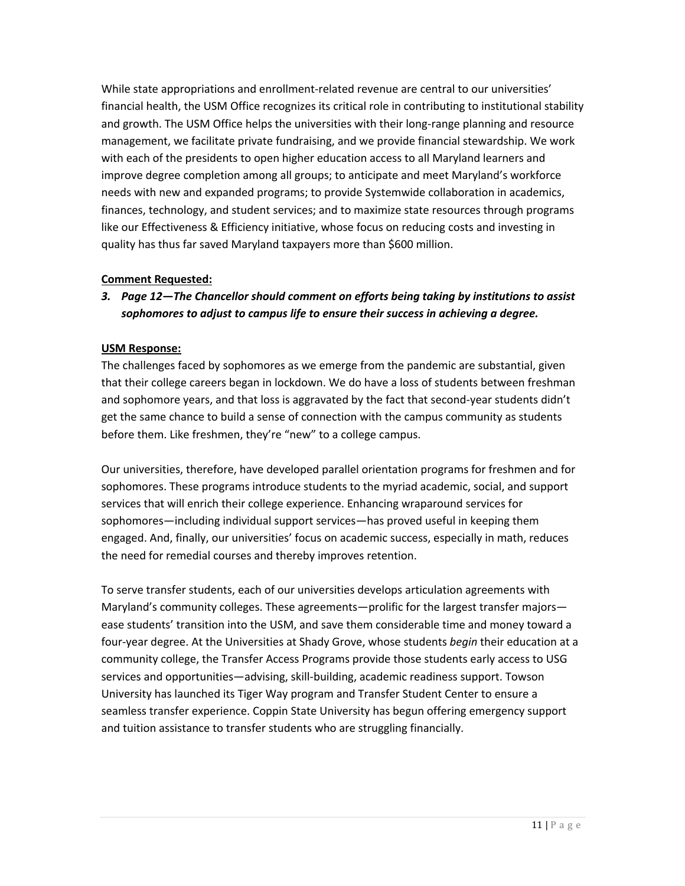While state appropriations and enrollment-related revenue are central to our universities' financial health, the USM Office recognizes its critical role in contributing to institutional stability and growth. The USM Office helps the universities with their long-range planning and resource management, we facilitate private fundraising, and we provide financial stewardship. We work with each of the presidents to open higher education access to all Maryland learners and improve degree completion among all groups; to anticipate and meet Maryland's workforce needs with new and expanded programs; to provide Systemwide collaboration in academics, finances, technology, and student services; and to maximize state resources through programs like our Effectiveness & Efficiency initiative, whose focus on reducing costs and investing in quality has thus far saved Maryland taxpayers more than \$600 million.

# **Comment Requested:**

*3. Page 12—The Chancellor should comment on efforts being taking by institutions to assist sophomores to adjust to campus life to ensure their success in achieving a degree.*

# **USM Response:**

The challenges faced by sophomores as we emerge from the pandemic are substantial, given that their college careers began in lockdown. We do have a loss of students between freshman and sophomore years, and that loss is aggravated by the fact that second-year students didn't get the same chance to build a sense of connection with the campus community as students before them. Like freshmen, they're "new" to a college campus.

Our universities, therefore, have developed parallel orientation programs for freshmen and for sophomores. These programs introduce students to the myriad academic, social, and support services that will enrich their college experience. Enhancing wraparound services for sophomores—including individual support services—has proved useful in keeping them engaged. And, finally, our universities' focus on academic success, especially in math, reduces the need for remedial courses and thereby improves retention.

To serve transfer students, each of our universities develops articulation agreements with Maryland's community colleges. These agreements—prolific for the largest transfer majors ease students' transition into the USM, and save them considerable time and money toward a four-year degree. At the Universities at Shady Grove, whose students *begin* their education at a community college, the Transfer Access Programs provide those students early access to USG services and opportunities—advising, skill-building, academic readiness support. Towson University has launched its Tiger Way program and Transfer Student Center to ensure a seamless transfer experience. Coppin State University has begun offering emergency support and tuition assistance to transfer students who are struggling financially.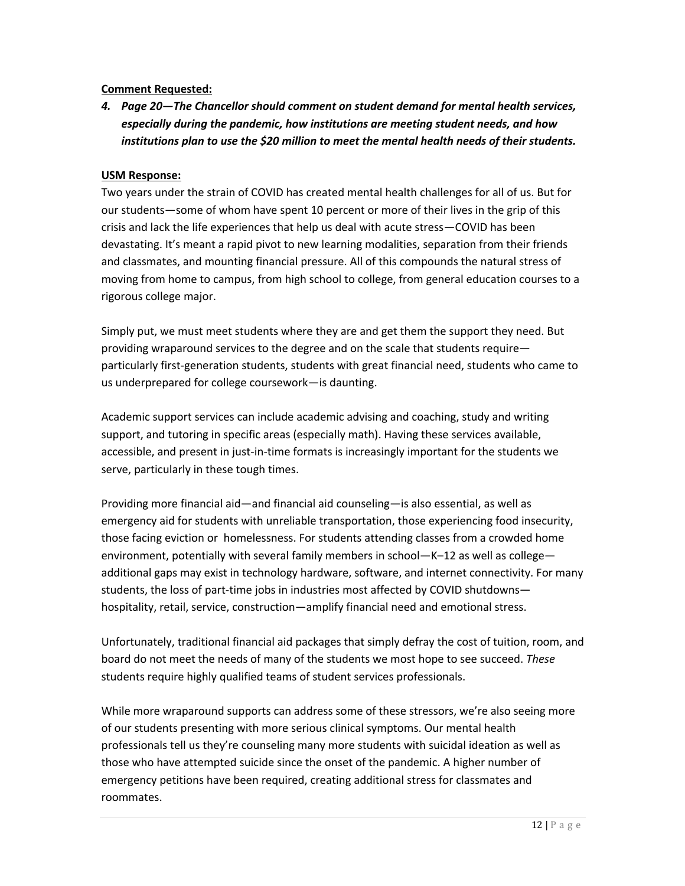## **Comment Requested:**

*4. Page 20—The Chancellor should comment on student demand for mental health services, especially during the pandemic, how institutions are meeting student needs, and how institutions plan to use the \$20 million to meet the mental health needs of their students.*

# **USM Response:**

Two years under the strain of COVID has created mental health challenges for all of us. But for our students—some of whom have spent 10 percent or more of their lives in the grip of this crisis and lack the life experiences that help us deal with acute stress—COVID has been devastating. It's meant a rapid pivot to new learning modalities, separation from their friends and classmates, and mounting financial pressure. All of this compounds the natural stress of moving from home to campus, from high school to college, from general education courses to a rigorous college major.

Simply put, we must meet students where they are and get them the support they need. But providing wraparound services to the degree and on the scale that students require particularly first-generation students, students with great financial need, students who came to us underprepared for college coursework—is daunting.

Academic support services can include academic advising and coaching, study and writing support, and tutoring in specific areas (especially math). Having these services available, accessible, and present in just-in-time formats is increasingly important for the students we serve, particularly in these tough times.

Providing more financial aid—and financial aid counseling—is also essential, as well as emergency aid for students with unreliable transportation, those experiencing food insecurity, those facing eviction or homelessness. For students attending classes from a crowded home environment, potentially with several family members in school—K–12 as well as college additional gaps may exist in technology hardware, software, and internet connectivity. For many students, the loss of part-time jobs in industries most affected by COVID shutdowns hospitality, retail, service, construction—amplify financial need and emotional stress.

Unfortunately, traditional financial aid packages that simply defray the cost of tuition, room, and board do not meet the needs of many of the students we most hope to see succeed. *These* students require highly qualified teams of student services professionals.

While more wraparound supports can address some of these stressors, we're also seeing more of our students presenting with more serious clinical symptoms. Our mental health professionals tell us they're counseling many more students with suicidal ideation as well as those who have attempted suicide since the onset of the pandemic. A higher number of emergency petitions have been required, creating additional stress for classmates and roommates.